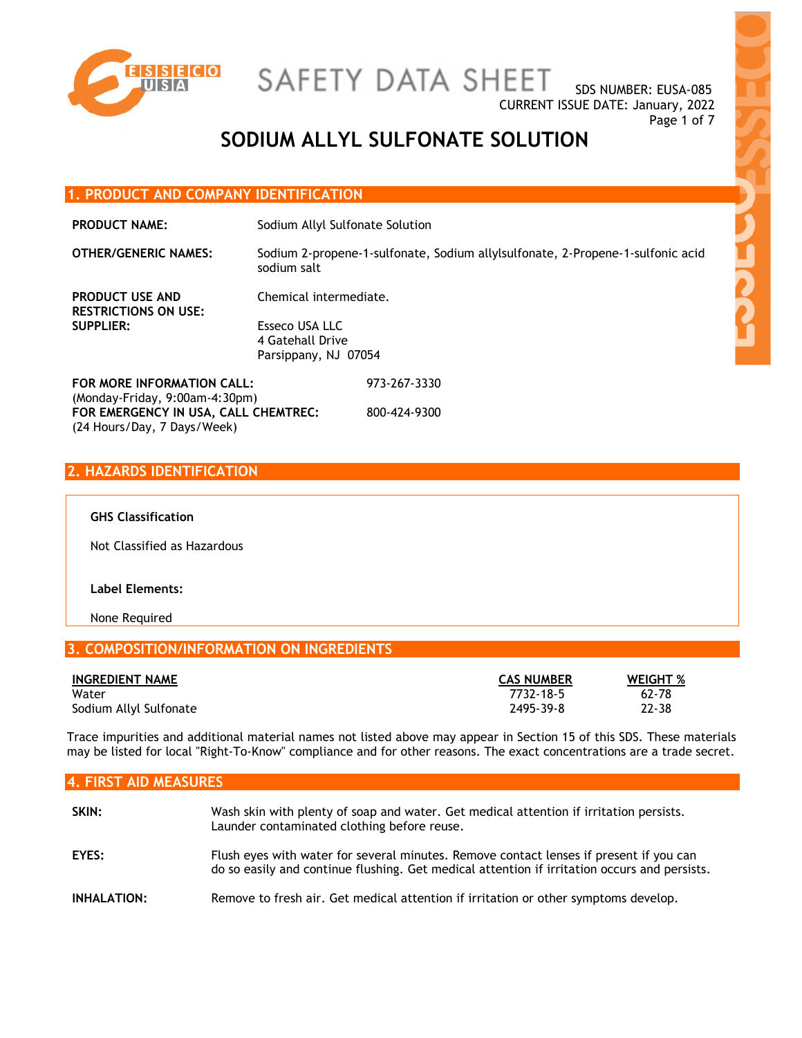

SDS NUMBER: EUSA-085 CURRENT ISSUE DATE: January, 2022 Page 1 of 7

## **SODIUM ALLYL SULFONATE SOLUTION**

973-267-3330

800-424-9300

#### **1. PRODUCT AND COMPANY IDENTIFICATION**

**PRODUCT NAME:** Sodium Allyl Sulfonate Solution

**OTHER/GENERIC NAMES:** Sodium 2-propene-1-sulfonate, Sodium allylsulfonate, 2-Propene-1-sulfonic acid sodium salt

**PRODUCT USE AND RESTRICTIONS ON USE: SUPPLIER:** Esseco USA LLC

Chemical intermediate. 4 Gatehall Drive Parsippany, NJ 07054

**FOR MORE INFORMATION CALL:** (Monday-Friday, 9:00am-4:30pm) **FOR EMERGENCY IN USA, CALL CHEMTREC:** (24 Hours/Day, 7 Days/Week)

### **2. HAZARDS IDENTIFICATION**

#### **GHS Classification**

Not Classified as Hazardous

#### **Label Elements:**

None Required

#### **3. COMPOSITION/INFORMATION ON INGREDIENTS**

| <b>INGREDIENT NAME</b> | <b>CAS NUMBER</b> | <b>WEIGHT %</b> |
|------------------------|-------------------|-----------------|
| Water                  | 7732-18-5         | $62 - 78$       |
| Sodium Allyl Sulfonate | 2495-39-8         | 22-38           |

Trace impurities and additional material names not listed above may appear in Section 15 of this SDS. These materials may be listed for local "Right-To-Know" compliance and for other reasons. The exact concentrations are a trade secret.

| <b>4. FIRST AID MEASURES</b> |                                                                                                                                                                                        |  |
|------------------------------|----------------------------------------------------------------------------------------------------------------------------------------------------------------------------------------|--|
| SKIN:                        | Wash skin with plenty of soap and water. Get medical attention if irritation persists.<br>Launder contaminated clothing before reuse.                                                  |  |
| EYES:                        | Flush eyes with water for several minutes. Remove contact lenses if present if you can<br>do so easily and continue flushing. Get medical attention if irritation occurs and persists. |  |
| INHALATION:                  | Remove to fresh air. Get medical attention if irritation or other symptoms develop.                                                                                                    |  |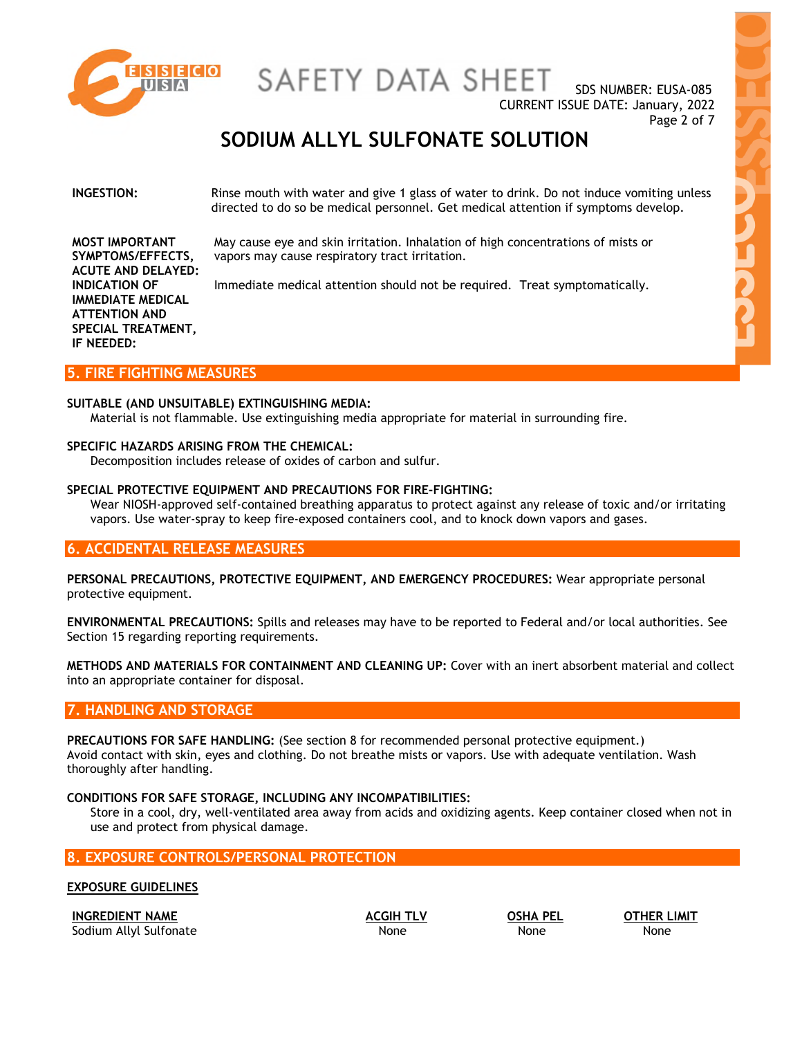

SDS NUMBER: EUSA-085 CURRENT ISSUE DATE: January, 2022 Page 2 of 7

### **SODIUM ALLYL SULFONATE SOLUTION**

#### **INGESTION:** Rinse mouth with water and give 1 glass of water to drink. Do not induce vomiting unless directed to do so be medical personnel. Get medical attention if symptoms develop.

May cause eye and skin irritation. Inhalation of high concentrations of mists or vapors may cause respiratory tract irritation.

Immediate medical attention should not be required. Treat symptomatically.

**MOST IMPORTANT SYMPTOMS/EFFECTS, ACUTE AND DELAYED: INDICATION OF IMMEDIATE MEDICAL ATTENTION AND SPECIAL TREATMENT, IF NEEDED:**

#### **5. FIRE FIGHTING MEASURES**

#### **SUITABLE (AND UNSUITABLE) EXTINGUISHING MEDIA:**

Material is not flammable. Use extinguishing media appropriate for material in surrounding fire.

#### **SPECIFIC HAZARDS ARISING FROM THE CHEMICAL:**

Decomposition includes release of oxides of carbon and sulfur.

#### **SPECIAL PROTECTIVE EQUIPMENT AND PRECAUTIONS FOR FIRE-FIGHTING:**

Wear NIOSH-approved self-contained breathing apparatus to protect against any release of toxic and/or irritating vapors. Use water-spray to keep fire-exposed containers cool, and to knock down vapors and gases.

#### **6. ACCIDENTAL RELEASE MEASURES**

**PERSONAL PRECAUTIONS, PROTECTIVE EQUIPMENT, AND EMERGENCY PROCEDURES:** Wear appropriate personal protective equipment.

**ENVIRONMENTAL PRECAUTIONS:** Spills and releases may have to be reported to Federal and/or local authorities. See Section 15 regarding reporting requirements.

**METHODS AND MATERIALS FOR CONTAINMENT AND CLEANING UP:** Cover with an inert absorbent material and collect into an appropriate container for disposal.

#### **7. HANDLING AND STORAGE**

**PRECAUTIONS FOR SAFE HANDLING:** (See section 8 for recommended personal protective equipment.) Avoid contact with skin, eyes and clothing. Do not breathe mists or vapors. Use with adequate ventilation. Wash thoroughly after handling.

#### **CONDITIONS FOR SAFE STORAGE, INCLUDING ANY INCOMPATIBILITIES:**

Store in a cool, dry, well-ventilated area away from acids and oxidizing agents. Keep container closed when not in use and protect from physical damage.

### **8. EXPOSURE CONTROLS/PERSONAL PROTECTION**

**EXPOSURE GUIDELINES** 

**INGREDIENT NAME ACGIH TLV OSHA PEL OTHER LIMIT** Sodium Allyl Sulfonate None None None None None None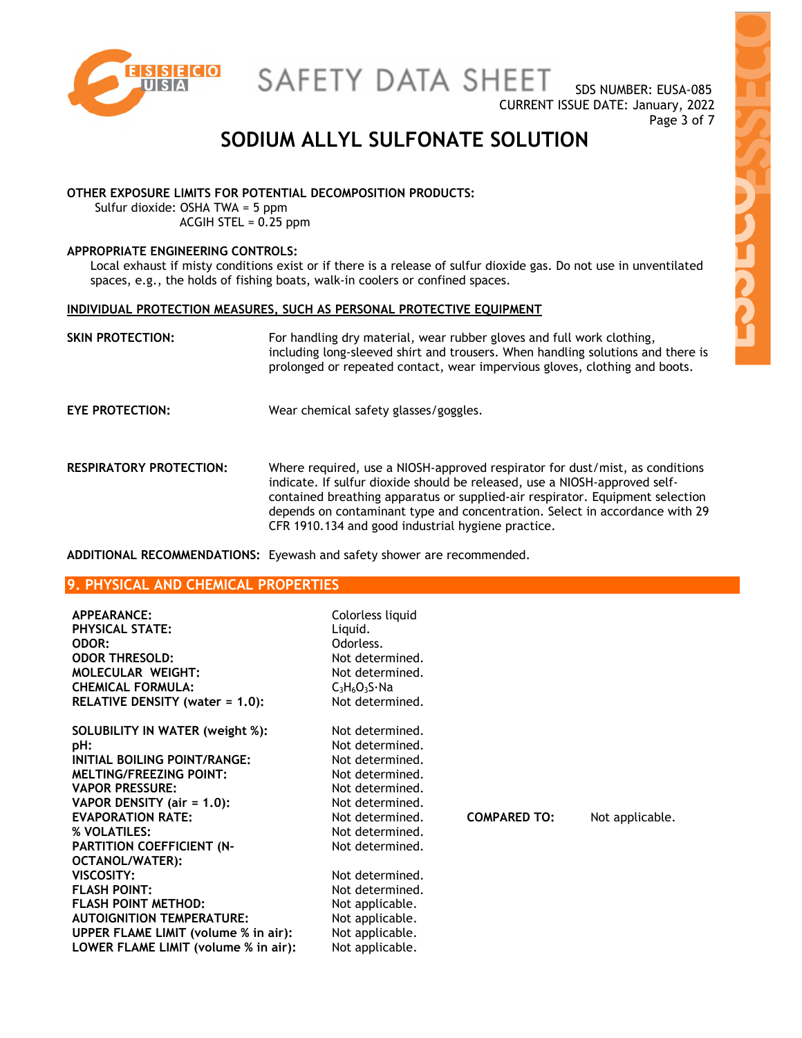

SDS NUMBER: EUSA-085 CURRENT ISSUE DATE: January, 2022 Page 3 of 7

### **SODIUM ALLYL SULFONATE SOLUTION**

#### **OTHER EXPOSURE LIMITS FOR POTENTIAL DECOMPOSITION PRODUCTS:**

Sulfur dioxide: OSHA TWA = 5 ppm ACGIH STEL = 0.25 ppm

#### **APPROPRIATE ENGINEERING CONTROLS:**

Local exhaust if misty conditions exist or if there is a release of sulfur dioxide gas. Do not use in unventilated spaces, e.g., the holds of fishing boats, walk-in coolers or confined spaces.

#### **INDIVIDUAL PROTECTION MEASURES, SUCH AS PERSONAL PROTECTIVE EQUIPMENT**

| <b>SKIN PROTECTION:</b>        | For handling dry material, wear rubber gloves and full work clothing,<br>including long-sleeved shirt and trousers. When handling solutions and there is<br>prolonged or repeated contact, wear impervious gloves, clothing and boots.                                                                                                                                           |
|--------------------------------|----------------------------------------------------------------------------------------------------------------------------------------------------------------------------------------------------------------------------------------------------------------------------------------------------------------------------------------------------------------------------------|
| <b>EYE PROTECTION:</b>         | Wear chemical safety glasses/goggles.                                                                                                                                                                                                                                                                                                                                            |
| <b>RESPIRATORY PROTECTION:</b> | Where required, use a NIOSH-approved respirator for dust/mist, as conditions<br>indicate. If sulfur dioxide should be released, use a NIOSH-approved self-<br>contained breathing apparatus or supplied-air respirator. Equipment selection<br>depends on contaminant type and concentration. Select in accordance with 29<br>CFR 1910.134 and good industrial hygiene practice. |

**ADDITIONAL RECOMMENDATIONS:** Eyewash and safety shower are recommended.

#### **9. PHYSICAL AND CHEMICAL PROPERTIES**

| APPEARANCE:<br><b>PHYSICAL STATE:</b><br>ODOR:<br><b>ODOR THRESOLD:</b><br><b>MOLECULAR WEIGHT:</b><br><b>CHEMICAL FORMULA:</b><br>RELATIVE DENSITY (water = 1.0):                                                                                                     | Colorless liquid<br>Liquid.<br>Odorless.<br>Not determined.<br>Not determined.<br>$C_3H_6O_3S_3R_4$<br>Not determined.                                                  |                     |                 |
|------------------------------------------------------------------------------------------------------------------------------------------------------------------------------------------------------------------------------------------------------------------------|-------------------------------------------------------------------------------------------------------------------------------------------------------------------------|---------------------|-----------------|
| SOLUBILITY IN WATER (weight %):<br>pH:<br>INITIAL BOILING POINT/RANGE:<br><b>MELTING/FREEZING POINT:</b><br><b>VAPOR PRESSURE:</b><br>VAPOR DENSITY (air = $1.0$ ):<br><b>EVAPORATION RATE:</b><br>% VOLATILES:<br><b>PARTITION COEFFICIENT (N-</b><br>OCTANOL/WATER): | Not determined.<br>Not determined.<br>Not determined.<br>Not determined.<br>Not determined.<br>Not determined.<br>Not determined.<br>Not determined.<br>Not determined. | <b>COMPARED TO:</b> | Not applicable. |
| VISCOSITY:<br><b>FLASH POINT:</b><br><b>FLASH POINT METHOD:</b><br><b>AUTOIGNITION TEMPERATURE:</b><br>UPPER FLAME LIMIT (volume % in air):<br>LOWER FLAME LIMIT (volume % in air):                                                                                    | Not determined.<br>Not determined.<br>Not applicable.<br>Not applicable.<br>Not applicable.<br>Not applicable.                                                          |                     |                 |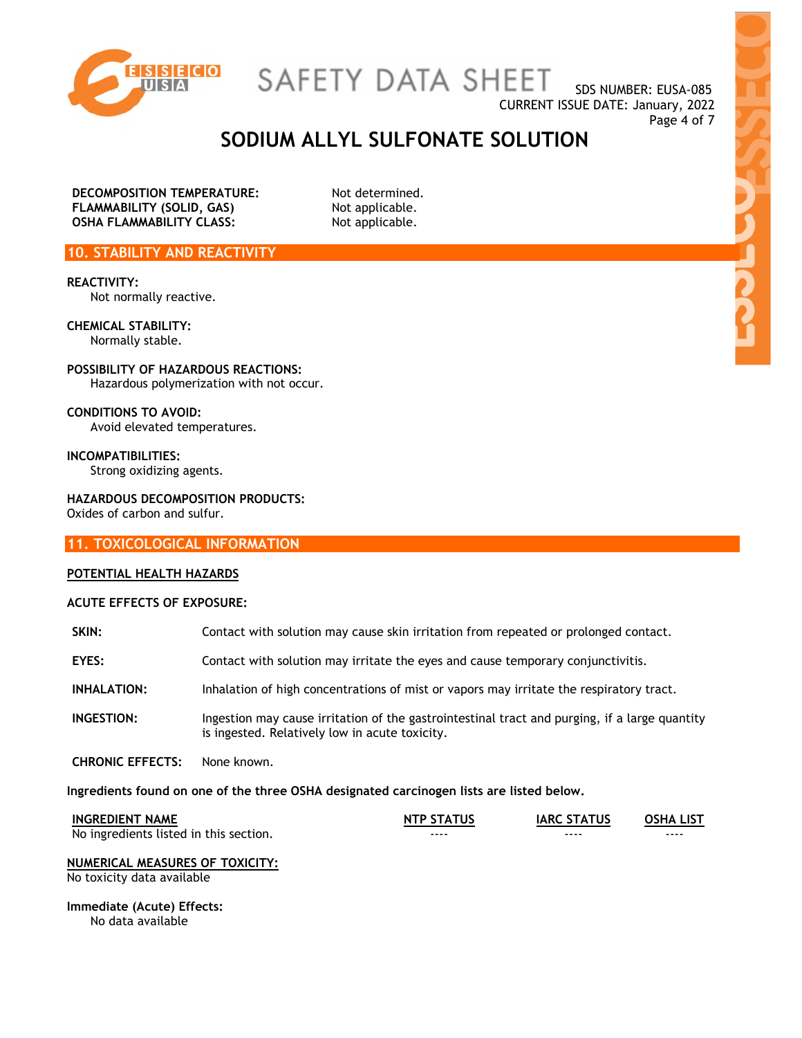

SAFETY DATA SHEET

SDS NUMBER: EUSA-085 CURRENT ISSUE DATE: January, 2022 Page 4 of 7

### **SODIUM ALLYL SULFONATE SOLUTION**

**DECOMPOSITION TEMPERATURE:** Not determined. **FLAMMABILITY (SOLID, GAS)** Not applicable. **OSHA FLAMMABILITY CLASS:** Not applicable.

**10. STABILITY AND REACTIVITY** 

**REACTIVITY:**  Not normally reactive.

**CHEMICAL STABILITY:**  Normally stable.

**POSSIBILITY OF HAZARDOUS REACTIONS:**  Hazardous polymerization with not occur.

**CONDITIONS TO AVOID:**  Avoid elevated temperatures.

**INCOMPATIBILITIES:**  Strong oxidizing agents.

**HAZARDOUS DECOMPOSITION PRODUCTS:**  Oxides of carbon and sulfur.

**11. TOXICOLOGICAL INFORMATION** 

#### **POTENTIAL HEALTH HAZARDS**

#### **ACUTE EFFECTS OF EXPOSURE:**

| SKIN:                   | Contact with solution may cause skin irritation from repeated or prolonged contact.                                                             |
|-------------------------|-------------------------------------------------------------------------------------------------------------------------------------------------|
| EYES:                   | Contact with solution may irritate the eyes and cause temporary conjunctivitis.                                                                 |
| <b>INHALATION:</b>      | Inhalation of high concentrations of mist or vapors may irritate the respiratory tract.                                                         |
| <b>INGESTION:</b>       | Ingestion may cause irritation of the gastrointestinal tract and purging, if a large quantity<br>is ingested. Relatively low in acute toxicity. |
| <b>CHRONIC EFFECTS:</b> | None known.                                                                                                                                     |

**Ingredients found on one of the three OSHA designated carcinogen lists are listed below.** 

| <b>INGREDIENT NAME</b>                 | <b>NTP STATUS</b> | <b>IARC STATUS</b> | <b>OSHA LIST</b> |
|----------------------------------------|-------------------|--------------------|------------------|
| No ingredients listed in this section. | ----              | ----               | ----             |

#### **NUMERICAL MEASURES OF TOXICITY:**

No toxicity data available

**Immediate (Acute) Effects:**  No data available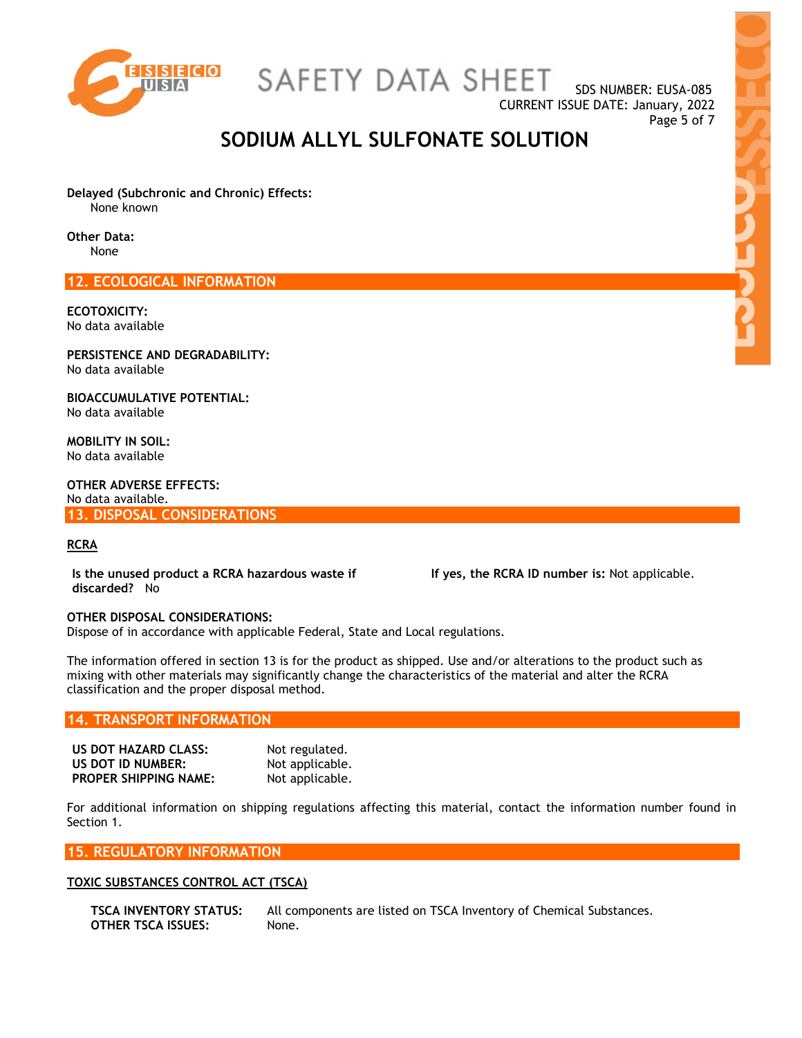

SAFETY DATA SHEET

SDS NUMBER: EUSA-085 CURRENT ISSUE DATE: January, 2022 Page 5 of 7

### **SODIUM ALLYL SULFONATE SOLUTION**

**Delayed (Subchronic and Chronic) Effects:**  None known

**Other Data:** 

None

**12. ECOLOGICAL INFORMATION** 

**ECOTOXICITY:**  No data available

**PERSISTENCE AND DEGRADABILITY:**  No data available

**BIOACCUMULATIVE POTENTIAL:**  No data available

**MOBILITY IN SOIL:**  No data available

**OTHER ADVERSE EFFECTS:**  No data available. **13. DISPOSAL CONSIDERATIONS** 

#### **RCRA**

**Is the unused product a RCRA hazardous waste if discarded?** No

 **If yes, the RCRA ID number is:** Not applicable.

#### **OTHER DISPOSAL CONSIDERATIONS:**

Dispose of in accordance with applicable Federal, State and Local regulations.

The information offered in section 13 is for the product as shipped. Use and/or alterations to the product such as mixing with other materials may significantly change the characteristics of the material and alter the RCRA classification and the proper disposal method.

#### **14. TRANSPORT INFORMATION**

| US DOT HAZARD CLASS:         | Not regulated.  |
|------------------------------|-----------------|
| US DOT ID NUMBER:            | Not applicable. |
| <b>PROPER SHIPPING NAME:</b> | Not applicable. |

For additional information on shipping regulations affecting this material, contact the information number found in Section 1.

**15. REGULATORY INFORMATION** 

#### **TOXIC SUBSTANCES CONTROL ACT (TSCA)**

```
OTHER TSCA ISSUES: None.
```
**TSCA INVENTORY STATUS:** All components are listed on TSCA Inventory of Chemical Substances.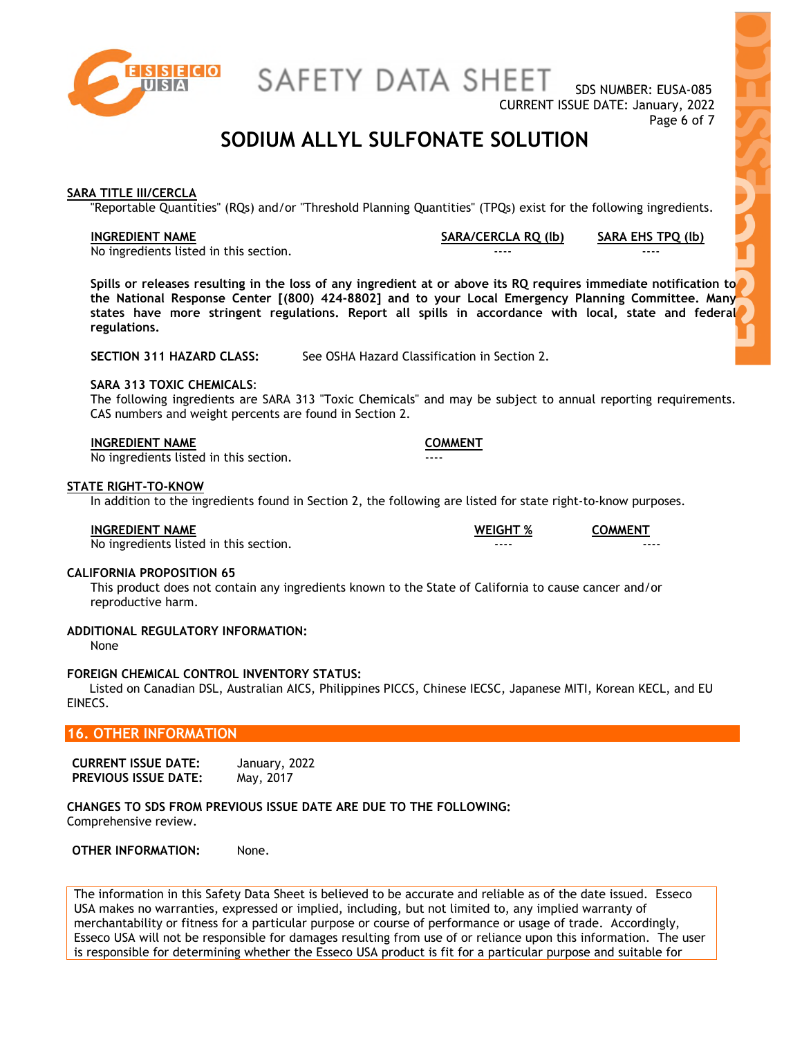

SDS NUMBER: EUSA-085 CURRENT ISSUE DATE: January, 2022 Page 6 of 7

### **SODIUM ALLYL SULFONATE SOLUTION**

#### **SARA TITLE III/CERCLA**

"Reportable Quantities" (RQs) and/or "Threshold Planning Quantities" (TPQs) exist for the following ingredients.

**INGREDIENT NAME SARA/CERCLA RQ (lb) SARA EHS TPQ (lb)**

No ingredients listed in this section.

**Spills or releases resulting in the loss of any ingredient at or above its RQ requires immediate notification to the National Response Center [(800) 424-8802] and to your Local Emergency Planning Committee. Many states have more stringent regulations. Report all spills in accordance with local, state and federal regulations.** 

**SECTION 311 HAZARD CLASS:** See OSHA Hazard Classification in Section 2.

#### **SARA 313 TOXIC CHEMICALS**:

The following ingredients are SARA 313 "Toxic Chemicals" and may be subject to annual reporting requirements. CAS numbers and weight percents are found in Section 2.

#### **INGREDIENT NAME COMMENT**

No ingredients listed in this section.

#### **STATE RIGHT-TO-KNOW**

In addition to the ingredients found in Section 2, the following are listed for state right-to-know purposes.

| <b>INGREDIENT NAME</b> | <b>WEIGHT %</b> | <b>COMMENT</b> |
|------------------------|-----------------|----------------|
|                        |                 |                |

No ingredients listed in this section.

#### **CALIFORNIA PROPOSITION 65**

This product does not contain any ingredients known to the State of California to cause cancer and/or reproductive harm.

#### **ADDITIONAL REGULATORY INFORMATION:**

None

#### **FOREIGN CHEMICAL CONTROL INVENTORY STATUS:**

 Listed on Canadian DSL, Australian AICS, Philippines PICCS, Chinese IECSC, Japanese MITI, Korean KECL, and EU EINECS.

#### **16. OTHER INFORMATION**

| <b>CURRENT ISSUE DATE:</b>  | January, 2022 |
|-----------------------------|---------------|
| <b>PREVIOUS ISSUE DATE:</b> | May, 2017     |

**CHANGES TO SDS FROM PREVIOUS ISSUE DATE ARE DUE TO THE FOLLOWING:**  Comprehensive review.

**OTHER INFORMATION:** None.

The information in this Safety Data Sheet is believed to be accurate and reliable as of the date issued. Esseco USA makes no warranties, expressed or implied, including, but not limited to, any implied warranty of merchantability or fitness for a particular purpose or course of performance or usage of trade. Accordingly, Esseco USA will not be responsible for damages resulting from use of or reliance upon this information. The user is responsible for determining whether the Esseco USA product is fit for a particular purpose and suitable for